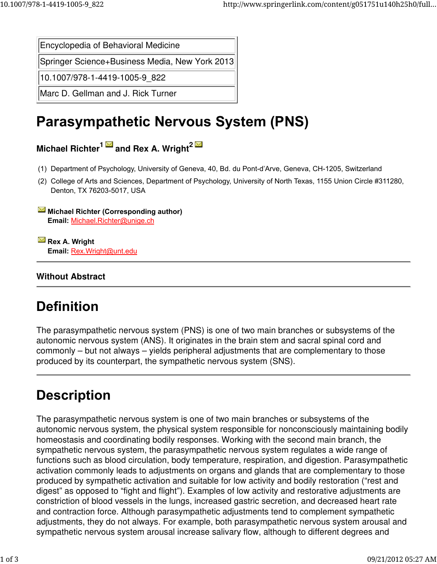Encyclopedia of Behavioral Medicine

Springer Science+Business Media, New York 2013

10.1007/978-1-4419-1005-9\_822

Marc D. Gellman and J. Rick Turner

# **Parasympathetic Nervous System (PNS)**

Michael Richter<sup>1</sup> and Rex A. Wright<sup>2</sup>

- (1) Department of Psychology, University of Geneva, 40, Bd. du Pont-d'Arve, Geneva, CH-1205, Switzerland
- (2) College of Arts and Sciences, Department of Psychology, University of North Texas, 1155 Union Circle #311280, Denton, TX 76203-5017, USA

**Michael Richter (Corresponding author) Email:** Michael.Richter@unige.ch

**EX** Rex A. Wright **Email:** Rex.Wright@unt.edu

## Without Abstract

## **Definition**

The parasympathetic nervous system (PNS) is one of two main branches or subsystems of the autonomic nervous system (ANS). It originates in the brain stem and sacral spinal cord and commonly – but not always – yields peripheral adjustments that are complementary to those produced by its counterpart, the sympathetic nervous system (SNS).

## **Description**

The parasympathetic nervous system is one of two main branches or subsystems of the autonomic nervous system, the physical system responsible for nonconsciously maintaining bodily homeostasis and coordinating bodily responses. Working with the second main branch, the sympathetic nervous system, the parasympathetic nervous system regulates a wide range of functions such as blood circulation, body temperature, respiration, and digestion. Parasympathetic activation commonly leads to adjustments on organs and glands that are complementary to those produced by sympathetic activation and suitable for low activity and bodily restoration ("rest and digest" as opposed to "fight and flight"). Examples of low activity and restorative adjustments are constriction of blood vessels in the lungs, increased gastric secretion, and decreased heart rate and contraction force. Although parasympathetic adjustments tend to complement sympathetic adjustments, they do not always. For example, both parasympathetic nervous system arousal and sympathetic nervous system arousal increase salivary flow, although to different degrees and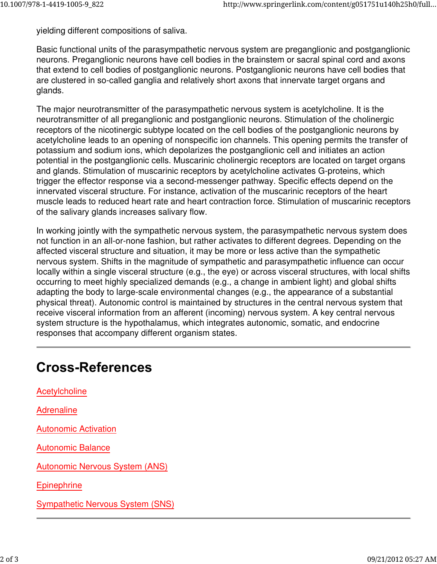yielding different compositions of saliva.

Basic functional units of the parasympathetic nervous system are preganglionic and postganglionic neurons. Preganglionic neurons have cell bodies in the brainstem or sacral spinal cord and axons that extend to cell bodies of postganglionic neurons. Postganglionic neurons have cell bodies that are clustered in so-called ganglia and relatively short axons that innervate target organs and glands.

The major neurotransmitter of the parasympathetic nervous system is acetylcholine. It is the neurotransmitter of all preganglionic and postganglionic neurons. Stimulation of the cholinergic receptors of the nicotinergic subtype located on the cell bodies of the postganglionic neurons by acetylcholine leads to an opening of nonspecific ion channels. This opening permits the transfer of potassium and sodium ions, which depolarizes the postganglionic cell and initiates an action potential in the postganglionic cells. Muscarinic cholinergic receptors are located on target organs and glands. Stimulation of muscarinic receptors by acetylcholine activates G-proteins, which trigger the effector response via a second-messenger pathway. Specific effects depend on the innervated visceral structure. For instance, activation of the muscarinic receptors of the heart muscle leads to reduced heart rate and heart contraction force. Stimulation of muscarinic receptors of the salivary glands increases salivary flow.

In working jointly with the sympathetic nervous system, the parasympathetic nervous system does not function in an all-or-none fashion, but rather activates to different degrees. Depending on the affected visceral structure and situation, it may be more or less active than the sympathetic nervous system. Shifts in the magnitude of sympathetic and parasympathetic influence can occur locally within a single visceral structure (e.g., the eye) or across visceral structures, with local shifts occurring to meet highly specialized demands (e.g., a change in ambient light) and global shifts adapting the body to large-scale environmental changes (e.g., the appearance of a substantial physical threat). Autonomic control is maintained by structures in the central nervous system that receive visceral information from an afferent (incoming) nervous system. A key central nervous system structure is the hypothalamus, which integrates autonomic, somatic, and endocrine responses that accompany different organism states.

## **Cross-References**

**Acetylcholine Adrenaline** Autonomic Activation Autonomic Balance Autonomic Nervous System (ANS) **Epinephrine** Sympathetic Nervous System (SNS)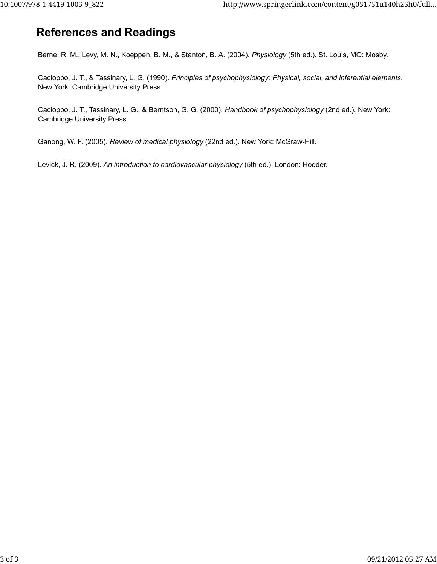## **References and Readings**

Berne, R. M., Levy, M. N., Koeppen, B. M., & Stanton, B. A. (2004). *Physiology* (5th ed.). St. Louis, MO: Mosby.

Cacioppo, J. T., & Tassinary, L. G. (1990). *Principles of psychophysiology: Physical, social, and inferential elements*. New York: Cambridge University Press.

Cacioppo, J. T., Tassinary, L. G., & Berntson, G. G. (2000). *Handbook of psychophysiology* (2nd ed.). New York: Cambridge University Press.

Ganong, W. F. (2005). *Review of medical physiology* (22nd ed.). New York: McGraw-Hill.

Levick, J. R. (2009). *An introduction to cardiovascular physiology* (5th ed.). London: Hodder.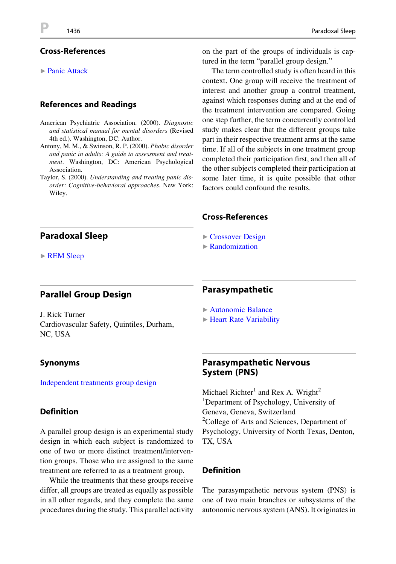#### Cross-References

#### ▶ [Panic Attack](http://dx.doi.org/10.1007/978-1-4419-1005-9_1162)

#### References and Readings

- American Psychiatric Association. (2000). Diagnostic and statistical manual for mental disorders (Revised 4th ed.). Washington, DC: Author.
- Antony, M. M., & Swinson, R. P. (2000). Phobic disorder and panic in adults: A guide to assessment and treatment. Washington, DC: American Psychological Association.
- Taylor, S. (2000). Understanding and treating panic disorder: Cognitive-behavioral approaches. New York: Wiley.

## Paradoxal Sleep

▶ [REM Sleep](http://dx.doi.org/10.1007/978-1-4419-1005-9_1681)

### Parallel Group Design

J. Rick Turner Cardiovascular Safety, Quintiles, Durham, NC, USA

#### Synonyms

[Independent treatments group design](http://dx.doi.org/10.1007/978-1-4419-1005-9_100881)

#### Definition

A parallel group design is an experimental study design in which each subject is randomized to one of two or more distinct treatment/intervention groups. Those who are assigned to the same treatment are referred to as a treatment group.

While the treatments that these groups receive differ, all groups are treated as equally as possible in all other regards, and they complete the same procedures during the study. This parallel activity on the part of the groups of individuals is captured in the term "parallel group design."

The term controlled study is often heard in this context. One group will receive the treatment of interest and another group a control treatment, against which responses during and at the end of the treatment intervention are compared. Going one step further, the term concurrently controlled study makes clear that the different groups take part in their respective treatment arms at the same time. If all of the subjects in one treatment group completed their participation first, and then all of the other subjects completed their participation at some later time, it is quite possible that other factors could confound the results.

#### Cross-References

- ▶ [Crossover Design](http://dx.doi.org/10.1007/978-1-4419-1005-9_1009)
- $\triangleright$  [Randomization](http://dx.doi.org/10.1007/978-1-4419-1005-9_1057)

#### Parasympathetic

- ▶ [Autonomic Balance](http://dx.doi.org/10.1007/978-1-4419-1005-9_789)
- ▶ [Heart Rate Variability](http://dx.doi.org/10.1007/978-1-4419-1005-9_805)

#### Parasympathetic Nervous System (PNS)

Michael Richter<sup>1</sup> and Rex A. Wright<sup>2</sup> <sup>1</sup>Department of Psychology, University of Geneva, Geneva, Switzerland <sup>2</sup>College of Arts and Sciences, Department of Psychology, University of North Texas, Denton, TX, USA

#### **Definition**

The parasympathetic nervous system (PNS) is one of two main branches or subsystems of the autonomic nervous system (ANS). It originates in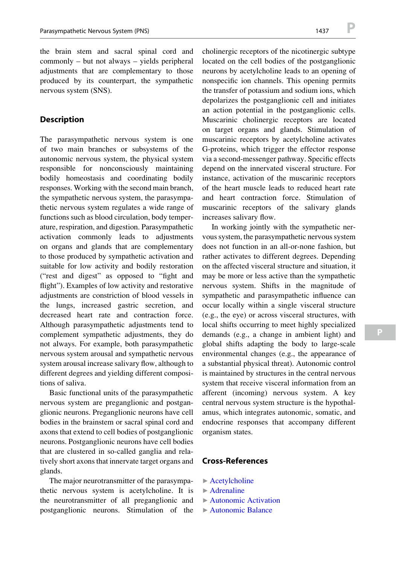the brain stem and sacral spinal cord and commonly – but not always – yields peripheral adjustments that are complementary to those produced by its counterpart, the sympathetic nervous system (SNS).

#### Description

The parasympathetic nervous system is one of two main branches or subsystems of the autonomic nervous system, the physical system responsible for nonconsciously maintaining bodily homeostasis and coordinating bodily responses. Working with the second main branch, the sympathetic nervous system, the parasympathetic nervous system regulates a wide range of functions such as blood circulation, body temperature, respiration, and digestion. Parasympathetic activation commonly leads to adjustments on organs and glands that are complementary to those produced by sympathetic activation and suitable for low activity and bodily restoration ("rest and digest" as opposed to "fight and flight"). Examples of low activity and restorative adjustments are constriction of blood vessels in the lungs, increased gastric secretion, and decreased heart rate and contraction force. Although parasympathetic adjustments tend to complement sympathetic adjustments, they do not always. For example, both parasympathetic nervous system arousal and sympathetic nervous system arousal increase salivary flow, although to different degrees and yielding different compositions of saliva.

Basic functional units of the parasympathetic nervous system are preganglionic and postganglionic neurons. Preganglionic neurons have cell bodies in the brainstem or sacral spinal cord and axons that extend to cell bodies of postganglionic neurons. Postganglionic neurons have cell bodies that are clustered in so-called ganglia and relatively short axons that innervate target organs and glands.

The major neurotransmitter of the parasympathetic nervous system is acetylcholine. It is the neurotransmitter of all preganglionic and postganglionic neurons. Stimulation of the cholinergic receptors of the nicotinergic subtype located on the cell bodies of the postganglionic neurons by acetylcholine leads to an opening of nonspecific ion channels. This opening permits the transfer of potassium and sodium ions, which depolarizes the postganglionic cell and initiates an action potential in the postganglionic cells. Muscarinic cholinergic receptors are located on target organs and glands. Stimulation of muscarinic receptors by acetylcholine activates G-proteins, which trigger the effector response via a second-messenger pathway. Specific effects depend on the innervated visceral structure. For instance, activation of the muscarinic receptors of the heart muscle leads to reduced heart rate and heart contraction force. Stimulation of muscarinic receptors of the salivary glands increases salivary flow.

In working jointly with the sympathetic nervous system, the parasympathetic nervous system does not function in an all-or-none fashion, but rather activates to different degrees. Depending on the affected visceral structure and situation, it may be more or less active than the sympathetic nervous system. Shifts in the magnitude of sympathetic and parasympathetic influence can occur locally within a single visceral structure (e.g., the eye) or across visceral structures, with local shifts occurring to meet highly specialized demands (e.g., a change in ambient light) and global shifts adapting the body to large-scale environmental changes (e.g., the appearance of a substantial physical threat). Autonomic control is maintained by structures in the central nervous system that receive visceral information from an afferent (incoming) nervous system. A key central nervous system structure is the hypothalamus, which integrates autonomic, somatic, and endocrine responses that accompany different organism states.

#### Cross-References

- $\blacktriangleright$  [Acetylcholine](http://dx.doi.org/10.1007/978-1-4419-1005-9_1351)
- $\blacktriangleright$  [Adrenaline](http://dx.doi.org/10.1007/978-1-4419-1005-9_1669)
- ▶ [Autonomic Activation](http://dx.doi.org/10.1007/978-1-4419-1005-9_788)
- ▶ [Autonomic Balance](http://dx.doi.org/10.1007/978-1-4419-1005-9_789)